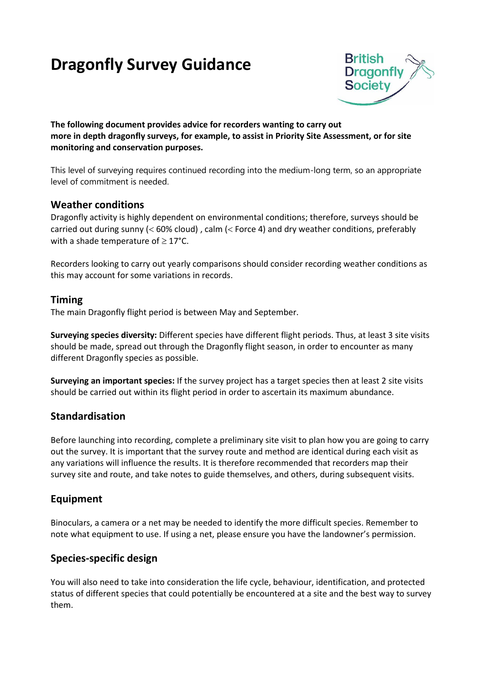# **Dragonfly Survey Guidance**



**The following document provides advice for recorders wanting to carry out more in depth dragonfly surveys, for example, to assist in Priority Site Assessment, or for site monitoring and conservation purposes.** 

This level of surveying requires continued recording into the medium-long term, so an appropriate level of commitment is needed.

## **Weather conditions**

Dragonfly activity is highly dependent on environmental conditions; therefore, surveys should be carried out during sunny ( $<$  60% cloud), calm ( $<$  Force 4) and dry weather conditions, preferably with a shade temperature of  $\geq 17^{\circ}$ C.

Recorders looking to carry out yearly comparisons should consider recording weather conditions as this may account for some variations in records.

#### **Timing**

The main Dragonfly flight period is between May and September.

**Surveying species diversity:** Different species have different flight periods. Thus, at least 3 site visits should be made, spread out through the Dragonfly flight season, in order to encounter as many different Dragonfly species as possible.

**Surveying an important species:** If the survey project has a target species then at least 2 site visits should be carried out within its flight period in order to ascertain its maximum abundance.

## **Standardisation**

Before launching into recording, complete a preliminary site visit to plan how you are going to carry out the survey. It is important that the survey route and method are identical during each visit as any variations will influence the results. It is therefore recommended that recorders map their survey site and route, and take notes to guide themselves, and others, during subsequent visits.

## **Equipment**

Binoculars, a camera or a net may be needed to identify the more difficult species. Remember to note what equipment to use. If using a net, please ensure you have the landowner's permission.

## **Species-specific design**

You will also need to take into consideration the life cycle, behaviour, identification, and protected status of different species that could potentially be encountered at a site and the best way to survey them.